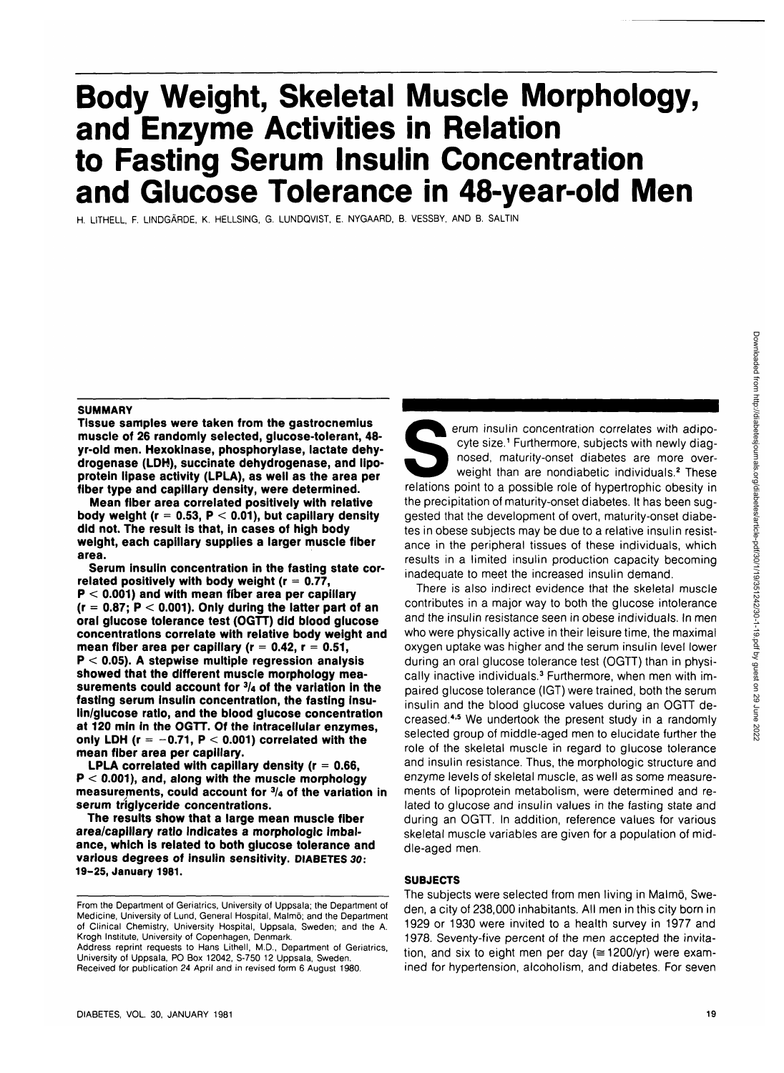# **Body Weight, Skeletal Muscle Morphology, and Enzyme Activities in Relation to Fasting Serum Insulin Concentration and Glucose Tolerance in 48-year-old Men**

H. LITHELL, F. LINDGARDE, K. HELLSING, G. LUNDQVIST, E. NYGAARD, B. VESSBY, AND B. SALTIN

#### **SUMMARY**

**Tissue samples were taken from the gastrocnemius muscle of 26 randomly selected, glucose-tolerant, 48 yr-old men. Hexokinase, phosphorylase, lactate dehydrogenase (LDH), succinate dehydrogenase, and lipoprotein lipase activity (LPLA), as well as the area per fiber type and capillary density, were determined.**

**Mean fiber area correlated positively with relative body weight (r = 0.53, P < 0.01), but capillary density did not. The result is that, in cases of high body weight, each capillary supplies a larger muscle fiber area.**

**Serum insulin concentration in the fasting state correlated positively with body weight (r = 0.77, P < 0.001) and with mean fiber area per capillary (r = 0.87; P < 0.001). Only during the latter part of an oral glucose tolerance test (OGTT) did blood glucose concentrations correlate with relative body weight and mean fiber area per capillary (r = 0.42, r = 0.51, P < 0.05). A stepwise multiple regression analysis showed that the different muscle morphology mea**surements could account for  $\frac{3}{4}$  of the variation in the **fasting serum insulin concentration, the fasting insulin/glucose ratio, and the blood glucose concentration at 120 min in the OGTT. Of the intracellular enzymes,** only LDH  $(r = -0.71, P < 0.001)$  correlated with the **mean fiber area per capillary.**

**LPLA correlated with capillary density (r = 0.66, P < 0.001), and, along with the muscle morphology** measurements, could account for  $\frac{3}{4}$  of the variation in **serum triglyceride concentrations.**

**The results show that a large mean muscle fiber area/capillary ratio indicates a morphologic imbalance, which is related to both glucose tolerance and various degrees of insulin sensitivity. DIABETES 30: 19-25, January 1981.**

Address reprint requests to Hans Lithell, M.D., Department of Geriatrics, University of Uppsala, PO Box 12042, S-750 12 Uppsala, Sweden. Received for publication 24 April and in revised form 6 August 1980.

erum insulin concentration correlates with adipo-<br>
cyte size.' Furthermore, subjects with newly diag-<br>
nosed, maturity-onset diabetes are more over-<br>
weight than are nondiabetic individuals.<sup>2</sup> These<br>
relations point to a cyte size.<sup>1</sup> Furthermore, subjects with newly diagnosed, maturity-onset diabetes are more overweight than are nondiabetic individuals.<sup>2</sup> These the precipitation of maturity-onset diabetes. It has been suggested that the development of overt, maturity-onset diabetes in obese subjects may be due to a relative insulin resistance in the peripheral tissues of these individuals, which results in a limited insulin production capacity becoming inadequate to meet the increased insulin demand.

There is also indirect evidence that the skeletal muscle contributes in a major way to both the glucose intolerance and the insulin resistance seen in obese individuals. In men who were physically active in their leisure time, the maximal oxygen uptake was higher and the serum insulin level lower during an oral glucose tolerance test (OGTT) than in physically inactive individuals.<sup>3</sup> Furthermore, when men with impaired glucose tolerance (IGT) were trained, both the serum insulin and the blood glucose values during an OGTT decreased.<sup>4,5</sup> We undertook the present study in a randomly selected group of middle-aged men to elucidate further the role of the skeletal muscle in regard to glucose tolerance and insulin resistance. Thus, the morphologic structure and enzyme levels of skeletal muscle, as well as some measurements of lipoprotein metabolism, were determined and related to glucose and insulin values in the fasting state and during an OGTT. In addition, reference values for various skeletal muscle variables are given for a population of middle-aged men.

## **SUBJECTS**

The subjects were selected from men living in Malmö, Sweden, a city of 238,000 inhabitants. All men in this city born in 1929 or 1930 were invited to a health survey in 1977 and 1978. Seventy-five percent of the men accepted the invitation, and six to eight men per day ( $\approx$  1200/yr) were examined for hypertension, alcoholism, and diabetes. For seven

From the Department of Geriatrics, University of Uppsala; the Department of Medicine, University of Lund, General Hospital, Malmo; and the Department of Clinical Chemistry, University Hospital, Uppsala, Sweden; and the A. Krogh Institute, University of Copenhagen, Denmark.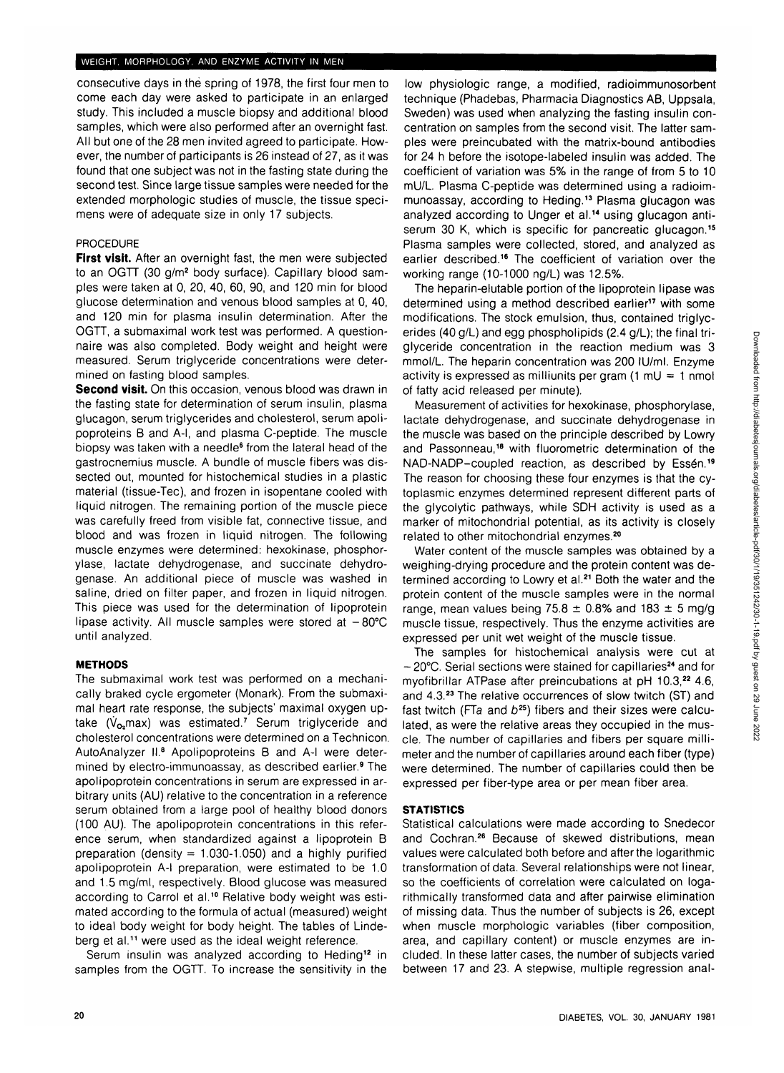consecutive days in the spring of 1978, the first four men to come each day were asked to participate in an enlarged study. This included a muscle biopsy and additional blood samples, which were also performed after an overnight fast. All but one of the 28 men invited agreed to participate. However, the number of participants is 26 instead of 27, as it was found that one subject was not in the fasting state during the second test. Since large tissue samples were needed for the extended morphologic studies of muscle, the tissue specimens were of adequate size in only 17 subjects.

## PROCEDURE

**First visit.** After an overnight fast, the men were subjected to an OGTT (30 g/m<sup>2</sup> body surface). Capillary blood samples were taken at 0, 20, 40, 60, 90, and 120 min for blood glucose determination and venous blood samples at 0, 40, and 120 min for plasma insulin determination. After the OGTT, a submaximal work test was performed. A questionnaire was also completed. Body weight and height were measured. Serum triglyceride concentrations were determined on fasting blood samples.

**Second visit.** On this occasion, venous blood was drawn in the fasting state for determination of serum insulin, plasma glucagon, serum triglycerides and cholesterol, serum apolipoproteins B and A-l, and plasma C-peptide. The muscle biopsy was taken with a needle<sup>6</sup> from the lateral head of the gastrocnemius muscle. A bundle of muscle fibers was dissected out, mounted for histochemical studies in a plastic material (tissue-Tec), and frozen in isopentane cooled with liquid nitrogen. The remaining portion of the muscle piece was carefully freed from visible fat, connective tissue, and blood and was frozen in liquid nitrogen. The following muscle enzymes were determined: hexokinase, phosphorylase, lactate dehydrogenase, and succinate dehydrogenase. An additional piece of muscle was washed in saline, dried on filter paper, and frozen in liquid nitrogen. This piece was used for the determination of lipoprotein lipase activity. All muscle samples were stored at  $-80^{\circ}$ C until analyzed.

## **METHODS**

The submaximal work test was performed on a mechanically braked cycle ergometer (Monark). From the submaximal heart rate response, the subjects' maximal oxygen uptake (V<sub>o2</sub>max) was estimated.<sup>7</sup> Serum triglyceride and cholesterol concentrations were determined on a Technicon, AutoAnalyzer II.<sup>8</sup> Apolipoproteins B and A-I were determined by electro-immunoassay, as described earlier.<sup>9</sup> The apolipoprotein concentrations in serum are expressed in arbitrary units (AU) relative to the concentration in a reference serum obtained from a large pool of healthy blood donors (100 AU). The apolipoprotein concentrations in this reference serum, when standardized against a lipoprotein B preparation (density  $= 1.030 - 1.050$ ) and a highly purified apolipoprotein A-l preparation, were estimated to be 1.0 and 1.5 mg/ml, respectively. Blood glucose was measured according to Carrol et al.<sup>10</sup> Relative body weight was estimated according to the formula of actual (measured) weight to ideal body weight for body height. The tables of Lindeberg et al.<sup>11</sup> were used as the ideal weight reference.

Serum insulin was analyzed according to Heding<sup>12</sup> in samples from the OGTT. To increase the sensitivity in the

low physiologic range, a modified, radioimmunosorbent technique (Phadebas, Pharmacia Diagnostics AB, Uppsala, Sweden) was used when analyzing the fasting insulin concentration on samples from the second visit. The latter samples were preincubated with the matrix-bound antibodies for 24 h before the isotope-labeled insulin was added. The coefficient of variation was 5% in the range of from 5 to 10 mU/L Plasma C-peptide was determined using a radioimmunoassay, according to Heding.<sup>13</sup> Plasma glucagon was analyzed according to Unger et al.<sup>14</sup> using glucagon antiserum 30 K, which is specific for pancreatic glucagon.<sup>15</sup> Plasma samples were collected, stored, and analyzed as earlier described.<sup>16</sup> The coefficient of variation over the working range (10-1000 ng/L) was 12.5%.

The heparin-elutable portion of the lipoprotein lipase was determined using a method described earlier<sup>17</sup> with some modifications. The stock emulsion, thus, contained triglycerides (40 g/L) and egg phospholipids (2.4 g/L); the final triglyceride concentration in the reaction medium was 3 mmol/L The heparin concentration was 200 lU/ml. Enzyme activity is expressed as milliunits per gram  $(1 \text{ mU} = 1 \text{ nmol})$ of fatty acid released per minute).

Measurement of activities for hexokinase, phosphorylase, lactate dehydrogenase, and succinate dehydrogenase in the muscle was based on the principle described by Lowry and Passonneau,<sup>18</sup> with fluorometric determination of the NAD-NADP-coupled reaction, as described by Essén.<sup>19</sup> The reason for choosing these four enzymes is that the cytoplasmic enzymes determined represent different parts of the glycolytic pathways, while SDH activity is used as a marker of mitochondrial potential, as its activity is closely related to other mitochondrial enzymes.20

Water content of the muscle samples was obtained by a weighing-drying procedure and the protein content was determined according to Lowry et al.<sup>21</sup> Both the water and the protein content of the muscle samples were in the normal range, mean values being  $75.8 \pm 0.8\%$  and  $183 \pm 5$  mg/g muscle tissue, respectively. Thus the enzyme activities are expressed per unit wet weight of the muscle tissue.

The samples for histochemical analysis were cut at - 20°C. Serial sections were stained for capillaries<sup>24</sup> and for myofibrillar ATPase after preincubations at pH 10.3,<sup>22</sup> 4.6, and 4.3.<sup>23</sup> The relative occurrences of slow twitch (ST) and fast twitch (FTa and  $b^{25}$ ) fibers and their sizes were calculated, as were the relative areas they occupied in the muscle. The number of capillaries and fibers per square millimeter and the number of capillaries around each fiber (type) were determined. The number of capillaries could then be expressed per fiber-type area or per mean fiber area.

## **STATISTICS**

Statistical calculations were made according to Snedecor and Cochran.<sup>26</sup> Because of skewed distributions, mean values were calculated both before and after the logarithmic transformation of data. Several relationships were not linear, so the coefficients of correlation were calculated on logarithmically transformed data and after pairwise elimination of missing data. Thus the number of subjects is 26, except when muscle morphologic variables (fiber composition, area, and capillary content) or muscle enzymes are included. In these latter cases, the number of subjects varied between 17 and 23. A stepwise, multiple regression anal-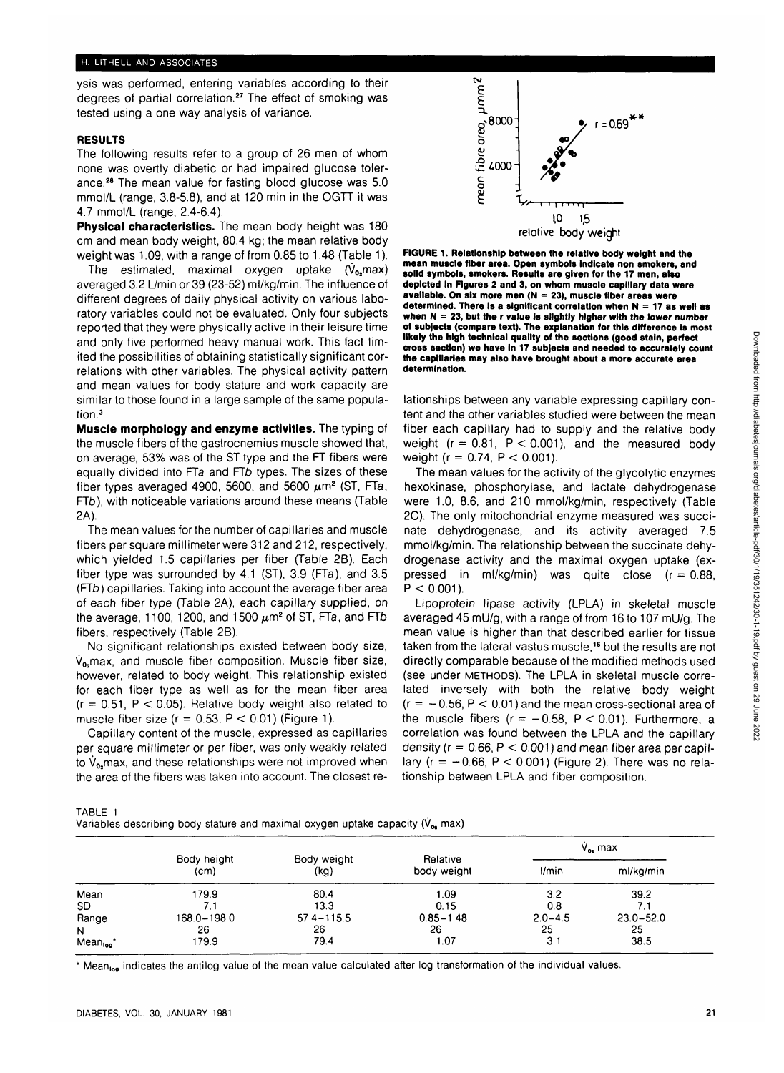## **H. LITHELL AND ASSOCIATES**

ysis was performed, entering variables according to their degrees of partial correlation.<sup>27</sup> The effect of smoking was tested using a one way analysis of variance.

# **RESULTS**

The following results refer to a group of 26 men of whom none was overtly diabetic or had impaired glucose tolerance.<sup>28</sup> The mean value for fasting blood glucose was 5.0 mmol/L (range, 3.8-5.8), and at 120 min in the OGTT it was 4.7 mmol/L (range, 2.4-6.4).

**Physical characteristics.** The mean body height was 180 cm and mean body weight, 80.4 kg; the mean relative body weight was 1.09, with a range of from 0.85 to 1.48 (Table 1).

The estimated, maximal oxygen uptake  $(\dot{V}_{0}$ max) averaged 3.2 L/min or 39 (23-52) ml/kg/min. The influence of different degrees of daily physical activity on various laboratory variables could not be evaluated. Only four subjects reported that they were physically active in their leisure time and only five performed heavy manual work. This fact limited the possibilities of obtaining statistically significant correlations with other variables. The physical activity pattern and mean values for body stature and work capacity are similar to those found in a large sample of the same population.<sup>3</sup>

**Muscle morphology and enzyme activities.** The typing of the muscle fibers of the gastrocnemius muscle showed that, on average, 53% was of the ST type and the FT fibers were equally divided into FTa and FTb types. The sizes of these fiber types averaged 4900, 5600, and 5600  $\mu$ m<sup>2</sup> (ST, FTa, FTb), with noticeable variations around these means (Table 2A).

The mean values for the number of capillaries and muscle fibers per square millimeter were 312 and 212, respectively, which yielded 1.5 capillaries per fiber (Table 2B). Each fiber type was surrounded by 4.1 (ST), 3.9 (FTa), and 3.5 (FTb) capillaries. Taking into account the average fiber area of each fiber type (Table 2A), each capillary supplied, on the average, 1100, 1200, and 1500  $\mu$ m<sup>2</sup> of ST, FTa, and FTb fibers, respectively (Table 2B).

No significant relationships existed between body size,  $V<sub>0</sub>$ max, and muscle fiber composition. Muscle fiber size, however, related to body weight. This relationship existed for each fiber type as well as for the mean fiber area  $(r = 0.51, P < 0.05)$ . Relative body weight also related to muscle fiber size ( $r = 0.53$ ,  $P < 0.01$ ) (Figure 1).

Capillary content of the muscle, expressed as capillaries per square millimeter or per fiber, was only weakly related to  $V_{0}$ <sub>m</sub>ax, and these relationships were not improved when the area of the fibers was taken into account. The closest re-



**FIGURE 1. Relationship between the relative body weight and the mean muscle fiber area. Open symbols Indicate non smokers, and solid symbols, smokers. Results are given for the 17 men, also depicted In Figures 2 and 3, on whom muscle capillary data were available. On six more men (N = 23), muscle fiber areas were determined. There Is a significant correlation when N = 17 as well as** when  $N = 23$ , but the r value is slightly higher with the lower number **of subjects (compare text). The explanation for this difference Is most likely the high technical quality of the sections (good stain, perfect cross section) we have In 17 subjects and needed to accurately count the capillaries may also have brought about a more accurate area determination.**

lationships between any variable expressing capillary content and the other variables studied were between the mean fiber each capillary had to supply and the relative body weight ( $r = 0.81$ ,  $P < 0.001$ ), and the measured body weight ( $r = 0.74$ ,  $P < 0.001$ ).

The mean values for the activity of the glycolytic enzymes hexokinase, phosphorylase, and lactate dehydrogenase were 1.0, 8.6, and 210 mmol/kg/min, respectively (Table 2C). The only mitochondrial enzyme measured was succinate dehydrogenase, and its activity averaged 7.5 mmol/kg/min. The relationship between the succinate dehydrogenase activity and the maximal oxygen uptake (expressed in ml/kg/min) was quite close  $(r = 0.88,$  $P < 0.001$ ).

Lipoprotein lipase activity (LPLA) in skeletal muscle averaged 45 mU/g, with a range of from 16 to 107 mU/g. The mean value is higher than that described earlier for tissue taken from the lateral vastus muscle,<sup>16</sup> but the results are not directly comparable because of the modified methods used (see under METHODS). The LPLA in skeletal muscle correlated inversely with both the relative body weight  $(r = -0.56, P < 0.01)$  and the mean cross-sectional area of the muscle fibers ( $r = -0.58$ ,  $P < 0.01$ ). Furthermore, a correlation was found between the LPLA and the capillary density ( $r = 0.66$ ,  $P < 0.001$ ) and mean fiber area per capillary ( $r = -0.66$ ,  $P < 0.001$ ) (Figure 2). There was no relationship between LPLA and fiber composition.

| TABLE 1                                                                                    |  |
|--------------------------------------------------------------------------------------------|--|
| Variables describing body stature and maximal oxygen uptake capacity (V <sub>or</sub> max) |  |

|                       |                                  |                     |                         | $V_{\infty}$ max |               |  |
|-----------------------|----------------------------------|---------------------|-------------------------|------------------|---------------|--|
|                       | Body height<br>(c <sub>m</sub> ) | Body weight<br>(kg) | Relative<br>body weight | I/min            | ml/kg/min     |  |
| Mean                  | 179.9                            | 80.4                | 1.09                    | 3.2              | 39.2          |  |
| SD.                   |                                  | 13.3                | 0.15                    | 0.8              | 7.1           |  |
| Range                 | 168.0-198.0                      | $57.4 - 115.5$      | $0.85 - 1.48$           | $2.0 - 4.5$      | $23.0 - 52.0$ |  |
| N                     | 26                               | 26                  | 26                      | 25               | 25            |  |
| Mean <sub>log</sub> * | 179.9                            | 79.4                | 1.07                    | 3.1              | 38.5          |  |

\* Mean<sub>tog</sub> indicates the antilog value of the mean value calculated after log transformation of the individual values.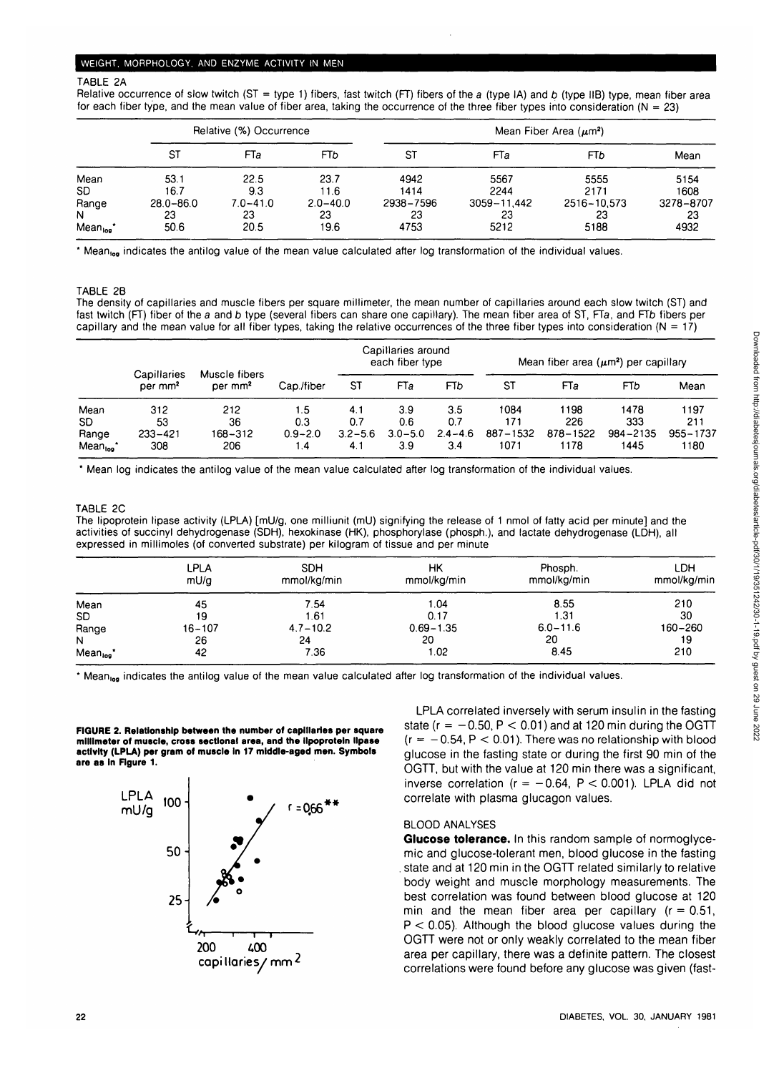## TABLE 2A

Relative occurrence of slow twitch (ST = type 1) fibers, fast twitch (FT) fibers of the a (type IA) and b (type IIB) type, mean fiber area for each fiber type, and the mean value of fiber area, taking the occurrence of the three fiber types into consideration ( $N = 23$ )

|                       |               | Relative (%) Occurrence |                 |           | Mean Fiber Area $(\mu m^2)$ |             |           |
|-----------------------|---------------|-------------------------|-----------------|-----------|-----------------------------|-------------|-----------|
|                       | ST            | F1a                     | FT <sub>b</sub> | <b>ST</b> | FTa                         | FTb         | Mean      |
| Mean                  | 53.1          | 22.5                    | 23.7            | 4942      | 5567                        | 5555        | 5154      |
| SD.                   | 16.7          | 9.3                     | 11.6            | 1414      | 2244                        | 2171        | 1608      |
| Range                 | $28.0 - 86.0$ | $7.0 - 41.0$            | $2.0 - 40.0$    | 2938-7596 | 3059-11,442                 | 2516-10.573 | 3278-8707 |
| N                     | 23            | 23                      | 23              | 23        | 23                          | 23          | 23        |
| Mean <sub>los</sub> * | 50.6          | 20.5                    | 19.6            | 4753      | 5212                        | 5188        | 4932      |

\* Mean<sub>tog</sub> indicates the antilog value of the mean value calculated after log transformation of the individual values.

#### TABLE 2B

The density of capillaries and muscle fibers per square millimeter, the mean number of capillaries around each slow twitch (ST) and fast twitch (FT) fiber of the a and b type (several fibers can share one capillary). The mean fiber area of ST, FTa, and FTb fibers per capillary and the mean value for all fiber types, taking the relative occurrences of the three fiber types into consideration ( $N = 17$ )

|                     |             | Capillaries<br>Muscle fibers<br>per mm <sup>2</sup><br>per mm <sup>2</sup> |             | Capillaries around<br>each fiber type |             |             | Mean fiber area $(\mu m^2)$ per capillary |          |          |              |
|---------------------|-------------|----------------------------------------------------------------------------|-------------|---------------------------------------|-------------|-------------|-------------------------------------------|----------|----------|--------------|
|                     |             |                                                                            | Cap./fiber  | ST                                    | FTa         | FTb         | ST                                        | FTa      | FTb      | Mean         |
| Mean                | 312         | 212                                                                        | 1.5         | 4.1                                   | 3.9         | 3.5         | 1084                                      | 1198     | 1478     | 1197         |
| SD.                 | 53          | 36                                                                         | 0.3         | 0.7                                   | 0.6         | 0.7         | 171                                       | 226      | 333      | 211          |
| Range               | $233 - 421$ | 168-312                                                                    | $0.9 - 2.0$ | $3.2 - 5.6$                           | $3.0 - 5.0$ | $2.4 - 4.6$ | 887-1532                                  | 878-1522 | 984-2135 | $955 - 1737$ |
| Mean <sub>too</sub> | 308         | 206                                                                        | 1.4         | 4.1                                   | 3.9         | 3.4         | 1071                                      | 1178     | 1445     | 1180         |

\* Mean log indicates the antilog value of the mean value calculated after log transformation of the individual values.

## TABLE 2C

The lipoprotein lipase activity (LPLA) [mU/g, one milliunit (mU) signifying the release of 1 nmol of fatty acid per minute] and the activities of succinyl dehydrogenase (SDH), hexokinase (HK), phosphorylase (phosph.), and lactate dehydrogenase (LDH), all expressed in millimoles (of converted substrate) per kilogram of tissue and per minute

|                       | LPLA<br>mU/g | <b>SDH</b><br>mmol/kg/min | НK<br>mmol/kg/min | Phosph.<br>mmol/kg/min | LDH<br>mmol/kg/mir |
|-----------------------|--------------|---------------------------|-------------------|------------------------|--------------------|
| Mean                  | 45           | 7.54                      | 1.04              | 8.55                   | 210                |
| SD.                   | 19           | 1.61                      | 0.17              | 1.31                   | 30                 |
| Range                 | 16-107       | $4.7 - 10.2$              | $0.69 - 1.35$     | $6.0 - 11.6$           | 160-260            |
| N                     | 26           | 24                        | 20                | 20                     | 19                 |
| Mean <sub>ios</sub> * | 42           | 7.36                      | 1.02              | 8.45                   | 210                |

\* Mean<sub>tog</sub> indicates the antilog value of the mean value calculated after log transformation of the individual values.

**FIGURE 2. Relationship between the number of capillaries per square millimeter of muscle, cross sectional area, and the lipoprotein lipase activity (LPLA) per gram of muscle In 17 middle-aged men. Symbols are as in Figure 1.**



LPLA correlated inversely with serum insulin in the fasting state ( $r = -0.50$ ,  $P < 0.01$ ) and at 120 min during the OGTT  $(r = -0.54, P < 0.01)$ . There was no relationship with blood glucose in the fasting state or during the first 90 min of the OGTT, but with the value at 120 min there was a significant, inverse correlation ( $r = -0.64$ ,  $P < 0.001$ ). LPLA did not correlate with plasma glucagon values.

## BLOOD ANALYSES

**Glucose tolerance.** In this random sample of normoglycemic and glucose-tolerant men, blood glucose in the fasting state and at 120 min in the OGTT related similarly to relative body weight and muscle morphology measurements. The best correlation was found between blood glucose at 120 min and the mean fiber area per capillary  $(r = 0.51,$  $P < 0.05$ ). Although the blood glucose values during the OGTT were not or only weakly correlated to the mean fiber area per capillary, there was a definite pattern. The closest correlations were found before any glucose was given (fast-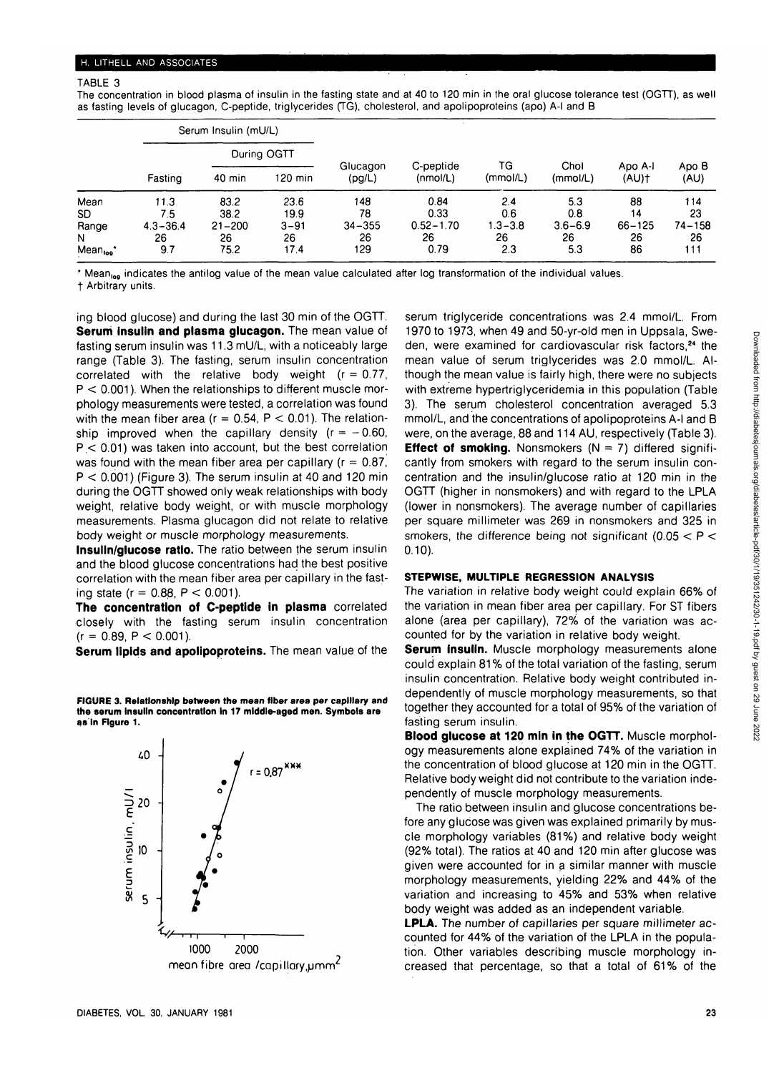#### TABLE 3

The concentration in blood plasma of insulin in the fasting state and at 40 to 120 min in the oral glucose tolerance test (OGTT), as well as fasting levels of glucagon, C-peptide, triglycerides (TG), cholesterol, and apolipoproteins (apo) A-l and B

|                                     | Serum Insulin (mU/L)      |                          |                        |                         |                             |                          |                          |                        |                     |
|-------------------------------------|---------------------------|--------------------------|------------------------|-------------------------|-----------------------------|--------------------------|--------------------------|------------------------|---------------------|
|                                     | During OGTT               |                          |                        |                         | ТG                          |                          |                          |                        |                     |
|                                     | Fasting                   | $40 \text{ min}$         | 120 min                | Glucagon<br>(pg/L)      | C-peptide<br>(nmol/L)       | (mmol/L)                 | Chol<br>(mmol/L)         | Apo A-I<br>$(AU)$ †    | Apo B<br>(AU)       |
| Mean<br>SD.                         | 11.3<br>7.5               | 83.2<br>38.2             | 23.6<br>19.9           | 148<br>78               | 0.84<br>0.33                | 2.4<br>0.6               | 5.3<br>0.8               | 88<br>14               | 114<br>23           |
| Range<br>N<br>Mean <sub>top</sub> * | $4.3 - 36.4$<br>26<br>9.7 | $21 - 200$<br>26<br>75.2 | $3 - 91$<br>26<br>17.4 | $34 - 355$<br>26<br>129 | $0.52 - 1.70$<br>26<br>0.79 | $1.3 - 3.8$<br>26<br>2.3 | $3.6 - 6.9$<br>26<br>5.3 | $66 - 125$<br>26<br>86 | 74-158<br>26<br>111 |

\* Mean<sub>log</sub> indicates the antilog value of the mean value calculated after log transformation of the individual values. t Arbitrary units.

ing blood glucose) and during the last 30 min of the OGTT. **Serum insulin and plasma glucagon.** The mean value of fasting serum insulin was 11.3 mU/L, with a noticeably large range (Table 3). The fasting, serum insulin concentration correlated with the relative body weight  $(r = 0.77)$ ,  $P < 0.001$ ). When the relationships to different muscle morphology measurements were tested, a correlation was found with the mean fiber area ( $r = 0.54$ ,  $P < 0.01$ ). The relationship improved when the capillary density  $(r=-0.60,$  $P < 0.01$ ) was taken into account, but the best correlation was found with the mean fiber area per capillary ( $r = 0.87$ ,  $P < 0.001$ ) (Figure 3). The serum insulin at 40 and 120 min during the OGTT showed only weak relationships with body weight, relative body weight, or with muscle morphology measurements. Plasma glucagon did not relate to relative body weight or muscle morphology measurements.

**Insulin/glucose ratio.** The ratio between the serum insulin and the blood glucose concentrations had the best positive correlation with the mean fiber area per capillary in the fasting state ( $r = 0.88$ ,  $P < 0.001$ ).

**The concentration of C-peptide in plasma** correlated closely with the fasting serum insulin concentration  $(r = 0.89, P < 0.001)$ .

**Serum lipids and apolipoproteins.** The mean value of the

**FIGURE 3. Relationship between the mean fiber area per capillary and the serum Insulin concentration In 17 middle-aged men. Symbols are as In Figure 1.**



serum triglyceride concentrations was 2.4 mmol/L. From 1970 to 1973, when 49 and 50-yr-old men in Uppsala, Sweden, were examined for cardiovascular risk factors,<sup>24</sup> the mean value of serum triglycerides was 2.0 mmol/L. Although the mean value is fairly high, there were no subjects with extreme hypertriglyceridemia in this population (Table 3). The serum cholesterol concentration averaged 5.3 mmol/L, and the concentrations of apolipoproteins A-l and B were, on the average, 88 and 114 AU, respectively (Table 3). **Effect of smoking.** Nonsmokers  $(N = 7)$  differed significantly from smokers with regard to the serum insulin concentration and the insulin/glucose ratio at 120 min in the OGTT (higher in nonsmokers) and with regard to the LPLA (lower in nonsmokers). The average number of capillaries per square millimeter was 269 in nonsmokers and 325 in smokers, the difference being not significant  $(0.05 < P <$ 0.10).

# **STEPWISE, MULTIPLE REGRESSION ANALYSIS**

The variation in relative body weight could explain 66% of the variation in mean fiber area per capillary. For ST fibers alone (area per capillary), 72% of the variation was accounted for by the variation in relative body weight.

**Serum insulin.** Muscle morphology measurements alone could explain 81% of the total variation of the fasting, serum insulin concentration. Relative body weight contributed independently of muscle morphology measurements, so that together they accounted for a total of 95% of the variation of fasting serum insulin.

**Blood glucose at 120 min in the OGTT.** Muscle morphology measurements alone explained 74% of the variation in the concentration of blood glucose at 120 min in the OGTT. Relative body weight did not contribute to the variation independently of muscle morphology measurements.

The ratio between insulin and glucose concentrations before any glucose was given was explained primarily by muscle morphology variables (81%) and relative body weight (92% total). The ratios at 40 and 120 min after glucose was given were accounted for in a similar manner with muscle morphology measurements, yielding 22% and 44% of the variation and increasing to 45% and 53% when relative body weight was added as an independent variable.

**LPLA.** The number of capillaries per square millimeter accounted for 44% of the variation of the LPLA in the population. Other variables describing muscle morphology increased that percentage, so that a total of 61% of the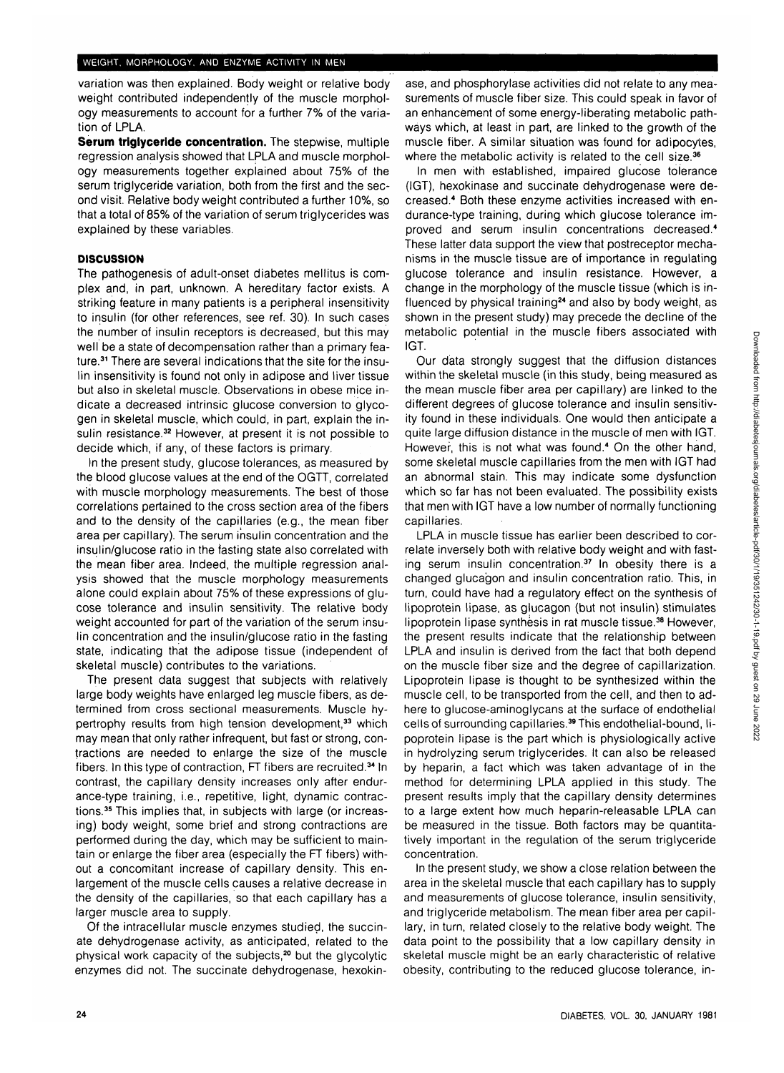variation was then explained. Body weight or relative body weight contributed independently of the muscle morphology measurements to account for a further 7% of the variation of LPLA.

**Serum triglyceride concentration.** The stepwise, multiple regression analysis showed that LPLA and muscle morphology measurements together explained about 75% of the serum triglyceride variation, both from the first and the second visit. Relative body weight contributed a further 10%, so that a total of 85% of the variation of serum triglycerides was explained by these variables.

# **DISCUSSION**

The pathogenesis of adult-onset diabetes mellitus is complex and, in part, unknown. A hereditary factor exists. A striking feature in many patients is a peripheral insensitivity to insulin (for other references, see ref. 30). In such cases the number of insulin receptors is decreased, but this may well be a state of decompensation rather than a primary feature.<sup>31</sup> There are several indications that the site for the insulin insensitivity is found not only in adipose and liver tissue but also in skeletal muscle. Observations in obese mice indicate a decreased intrinsic glucose conversion to glycogen in skeletal muscle, which could, in part, explain the insulin resistance.<sup>32</sup> However, at present it is not possible to decide which, if any, of these factors is primary.

In the present study, glucose tolerances, as measured by the blood glucose values at the end of the OGTT, correlated with muscle morphology measurements. The best of those correlations pertained to the cross section area of the fibers and to the density of the capillaries (e.g., the mean fiber area per capillary). The serum insulin concentration and the insulin/glucose ratio in the fasting state also correlated with the mean fiber area. Indeed, the multiple regression analysis showed that the muscle morphology measurements alone could explain about 75% of these expressions of glucose tolerance and insulin sensitivity. The relative body weight accounted for part of the variation of the serum insulin concentration and the insulin/glucose ratio in the fasting state, indicating that the adipose tissue (independent of skeletal muscle) contributes to the variations.

The present data suggest that subjects with relatively large body weights have enlarged leg muscle fibers, as determined from cross sectional measurements. Muscle hypertrophy results from high tension development,<sup>33</sup> which may mean that only rather infrequent, but fast or strong, contractions are needed to enlarge the size of the muscle fibers. In this type of contraction, FT fibers are recruited.<sup>34</sup> In contrast, the capillary density increases only after endurance-type training, i.e., repetitive, light, dynamic contractions.<sup>35</sup> This implies that, in subjects with large (or increasing) body weight, some brief and strong contractions are performed during the day, which may be sufficient to maintain or enlarge the fiber area (especially the FT fibers) without a concomitant increase of capillary density. This enlargement of the muscle cells causes a relative decrease in the density of the capillaries, so that each capillary has a larger muscle area to supply.

Of the intracellular muscle enzymes studied, the succinate dehydrogenase activity, as anticipated, related to the physical work capacity of the subjects,<sup>20</sup> but the glycolytic enzymes did not. The succinate dehydrogenase, hexokinase, and phosphorylase activities did not relate to any measurements of muscle fiber size. This could speak in favor of an enhancement of some energy-liberating metabolic pathways which, at least in part, are linked to the growth of the muscle fiber. A similar situation was found for adipocytes, where the metabolic activity is related to the cell size.<sup>36</sup>

In men with established, impaired glucose tolerance (IGT), hexokinase and succinate dehydrogenase were decreased.<sup>4</sup> Both these enzyme activities increased with endurance-type training, during which glucose tolerance improved and serum insulin concentrations decreased.<sup>4</sup> These latter data support the view that postreceptor mechanisms in the muscle tissue are of importance in regulating glucose tolerance and insulin resistance. However, a change in the morphology of the muscle tissue (which is influenced by physical training<sup>24</sup> and also by body weight, as shown in the present study) may precede the decline of the metabolic potential in the muscle fibers associated with IGT.

Our data strongly suggest that the diffusion distances within the skeletal muscle (in this study, being measured as the mean muscle fiber area per capillary) are linked to the different degrees of glucose tolerance and insulin sensitivity found in these individuals. One would then anticipate a quite large diffusion distance in the muscle of men with IGT. However, this is not what was found.<sup>4</sup> On the other hand, some skeletal muscle capillaries from the men with IGT had an abnormal stain. This may indicate some dysfunction which so far has not been evaluated. The possibility exists that men with IGT have a low number of normally functioning capillaries.

LPLA in muscle tissue has earlier been described to correlate inversely both with relative body weight and with fasting serum insulin concentration.<sup>37</sup> In obesity there is a changed glucagon and insulin concentration ratio. This, in turn, could have had a regulatory effect on the synthesis of lipoprotein lipase, as glucagon (but not insulin) stimulates lipoprotein lipase synthesis in rat muscle tissue.<sup>38</sup> However, the present results indicate that the relationship between LPLA and insulin is derived from the fact that both depend on the muscle fiber size and the degree of capillarization. Lipoprotein lipase is thought to be synthesized within the muscle cell, to be transported from the cell, and then to adhere to glucose-aminoglycans at the surface of endothelial cells of surrounding capillaries.<sup>39</sup> This endothelial-bound, lipoprotein lipase is the part which is physiologically active in hydrolyzing serum triglycerides. It can also be released by heparin, a fact which was taken advantage of in the method for determining LPLA applied in this study. The present results imply that the capillary density determines to a large extent how much heparin-releasable LPLA can be measured in the tissue. Both factors may be quantitatively important in the regulation of the serum triglyceride concentration.

In the present study, we show a close relation between the area in the skeletal muscle that each capillary has to supply and measurements of glucose tolerance, insulin sensitivity, and triglyceride metabolism. The mean fiber area per capillary, in turn, related closely to the relative body weight. The data point to the possibility that a low capillary density in skeletal muscle might be an early characteristic of relative obesity, contributing to the reduced glucose tolerance, in